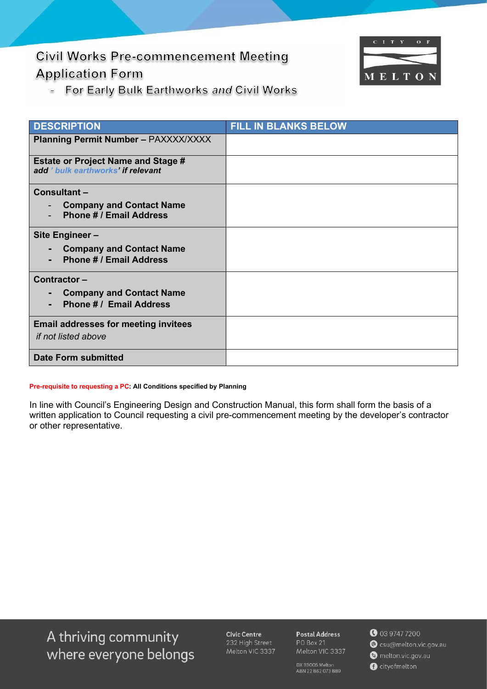# **Civil Works Pre-commencement Meeting Application Form**



For Early Bulk Earthworks and Civil Works  $\equiv$ 

| <b>DESCRIPTION</b>                                                                                | <b>FILL IN BLANKS BELOW</b> |
|---------------------------------------------------------------------------------------------------|-----------------------------|
| <b>Planning Permit Number - PAXXXX/XXXX</b>                                                       |                             |
| <b>Estate or Project Name and Stage #</b><br>add ' bulk earthworks' if relevant                   |                             |
| Consultant-                                                                                       |                             |
| <b>Company and Contact Name</b><br><b>Phone # / Email Address</b>                                 |                             |
| Site Engineer-                                                                                    |                             |
| <b>Company and Contact Name</b><br>$\blacksquare$<br><b>Phone # / Email Address</b>               |                             |
| Contractor-                                                                                       |                             |
| <b>Company and Contact Name</b><br>$\qquad \qquad \blacksquare$<br><b>Phone # / Email Address</b> |                             |
| <b>Email addresses for meeting invitees</b>                                                       |                             |
| if not listed above                                                                               |                             |
| <b>Date Form submitted</b>                                                                        |                             |

#### Pre-requisite to requesting a PC: All Conditions specified by Planning

In line with Council's Engineering Design and Construction Manual, this form shall form the basis of a written application to Council requesting a civil pre-commencement meeting by the developer's contractor or other representative.

A thriving community where everyone belongs

**Civic Centre** 232 High Street Melton VIC 3337

**Postal Address** PO Box 21 Melton VIC 3337

DX 33005 Melton<br>ABN 22 862 073 889

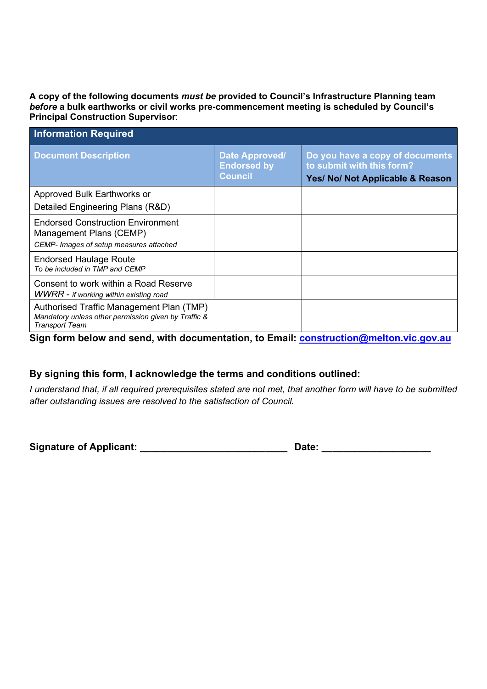A copy of the following documents must be provided to Council's Infrastructure Planning team before a bulk earthworks or civil works pre-commencement meeting is scheduled by Council's Principal Construction Supervisor:

| <b>Information Required</b>                                                                                               |                                                        |                                                                                                  |  |
|---------------------------------------------------------------------------------------------------------------------------|--------------------------------------------------------|--------------------------------------------------------------------------------------------------|--|
| <b>Document Description</b>                                                                                               | Date Approved/<br><b>Endorsed by</b><br><b>Council</b> | Do you have a copy of documents<br>to submit with this form?<br>Yes/ No/ Not Applicable & Reason |  |
| Approved Bulk Earthworks or                                                                                               |                                                        |                                                                                                  |  |
| Detailed Engineering Plans (R&D)                                                                                          |                                                        |                                                                                                  |  |
| <b>Endorsed Construction Environment</b><br>Management Plans (CEMP)<br>CEMP- Images of setup measures attached            |                                                        |                                                                                                  |  |
| <b>Endorsed Haulage Route</b><br>To be included in TMP and CEMP                                                           |                                                        |                                                                                                  |  |
| Consent to work within a Road Reserve<br>WWRR - if working within existing road                                           |                                                        |                                                                                                  |  |
| Authorised Traffic Management Plan (TMP)<br>Mandatory unless other permission given by Traffic &<br><b>Transport Team</b> |                                                        |                                                                                                  |  |

Sign form below and send, with documentation, to Email: construction@melton.vic.gov.au

## By signing this form, I acknowledge the terms and conditions outlined:

I understand that, if all required prerequisites stated are not met, that another form will have to be submitted after outstanding issues are resolved to the satisfaction of Council.

Signature of Applicant: example and a positive of  $\mathsf{D}$  ate:  $\mathsf{D}$  ate: